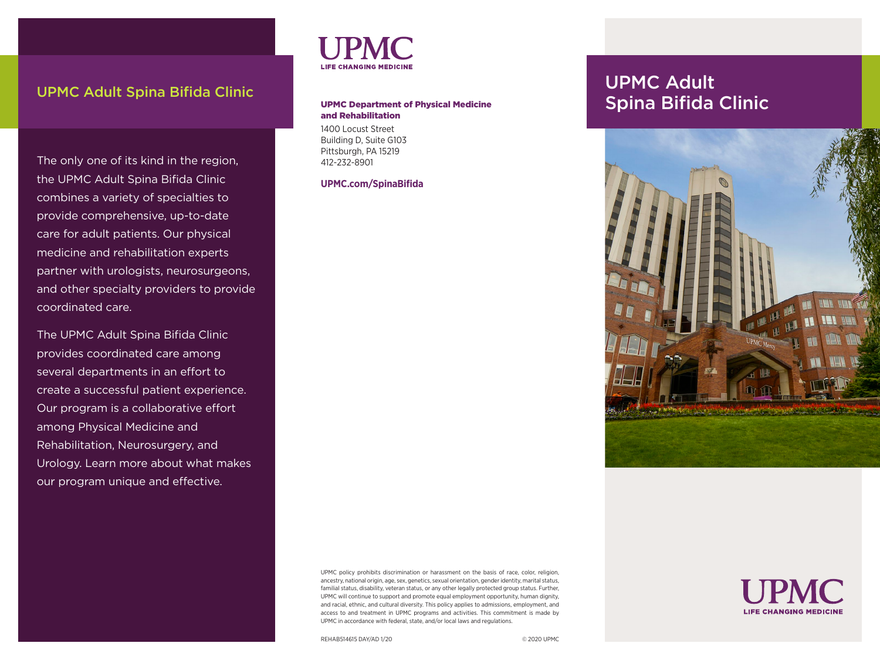# UPMC Adult Spina Bifida Clinic Contract Contract Contract Contract Contract Contract Contract Contract Contract Contract Contract Contract Contract Contract Contract Contract Contract Contract Contract Contract Contract Co

The only one of its kind in the region, the UPMC Adult Spina Bifida Clinic combines a variety of specialties to provide comprehensive, up-to-date care for adult patients. Our physical medicine and rehabilitation experts partner with urologists, neurosurgeons, and other specialty providers to provide coordinated care.

The UPMC Adult Spina Bifida Clinic provides coordinated care among several departments in an effort to create a successful patient experience. Our program is a collaborative effort among Physical Medicine and Rehabilitation, Neurosurgery, and Urology. Learn more about what makes our program unique and effective.



### UPMC Department of Physical Medicine and Rehabilitation

1400 Locust Street Building D, Suite G103 Pittsburgh, PA 15219 412-232-8901

**UPMC.com/SpinaBifida**

Spina Bifida Clinic



**LIFE CHANGING MEDICINE** 

UPMC policy prohibits discrimination or harassment on the basis of race, color, religion, ancestry, national origin, age, sex, genetics, sexual orientation, gender identity, marital status, familial status, disability, veteran status, or any other legally protected group status. Further, UPMC will continue to support and promote equal employment opportunity, human dignity, and racial, ethnic, and cultural diversity. This policy applies to admissions, employment, and access to and treatment in UPMC programs and activities. This commitment is made by UPMC in accordance with federal, state, and/or local laws and regulations.